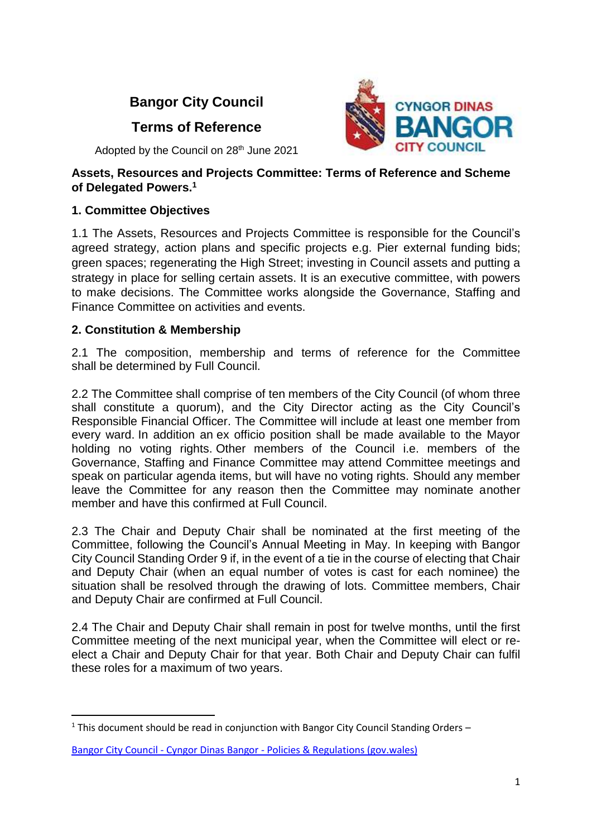# **Bangor City Council**

# **Terms of Reference**



Adopted by the Council on 28<sup>th</sup> June 2021

#### **Assets, Resources and Projects Committee: Terms of Reference and Scheme of Delegated Powers. 1**

### **1. Committee Objectives**

1.1 The Assets, Resources and Projects Committee is responsible for the Council's agreed strategy, action plans and specific projects e.g. Pier external funding bids; green spaces; regenerating the High Street; investing in Council assets and putting a strategy in place for selling certain assets. It is an executive committee, with powers to make decisions. The Committee works alongside the Governance, Staffing and Finance Committee on activities and events.

# **2. Constitution & Membership**

1

2.1 The composition, membership and terms of reference for the Committee shall be determined by Full Council.

2.2 The Committee shall comprise of ten members of the City Council (of whom three shall constitute a quorum), and the City Director acting as the City Council's Responsible Financial Officer. The Committee will include at least one member from every ward. In addition an ex officio position shall be made available to the Mayor holding no voting rights. Other members of the Council i.e. members of the Governance, Staffing and Finance Committee may attend Committee meetings and speak on particular agenda items, but will have no voting rights. Should any member leave the Committee for any reason then the Committee may nominate another member and have this confirmed at Full Council.

2.3 The Chair and Deputy Chair shall be nominated at the first meeting of the Committee, following the Council's Annual Meeting in May. In keeping with Bangor City Council Standing Order 9 if, in the event of a tie in the course of electing that Chair and Deputy Chair (when an equal number of votes is cast for each nominee) the situation shall be resolved through the drawing of lots. Committee members, Chair and Deputy Chair are confirmed at Full Council.

2.4 The Chair and Deputy Chair shall remain in post for twelve months, until the first Committee meeting of the next municipal year, when the Committee will elect or reelect a Chair and Deputy Chair for that year. Both Chair and Deputy Chair can fulfil these roles for a maximum of two years.

<sup>&</sup>lt;sup>1</sup> This document should be read in conjunction with Bangor City Council Standing Orders –

Bangor City Council - Cyngor Dinas Bangor - [Policies & Regulations \(gov.wales\)](https://bangorcitycouncil.gov.wales/Policies-Regulations)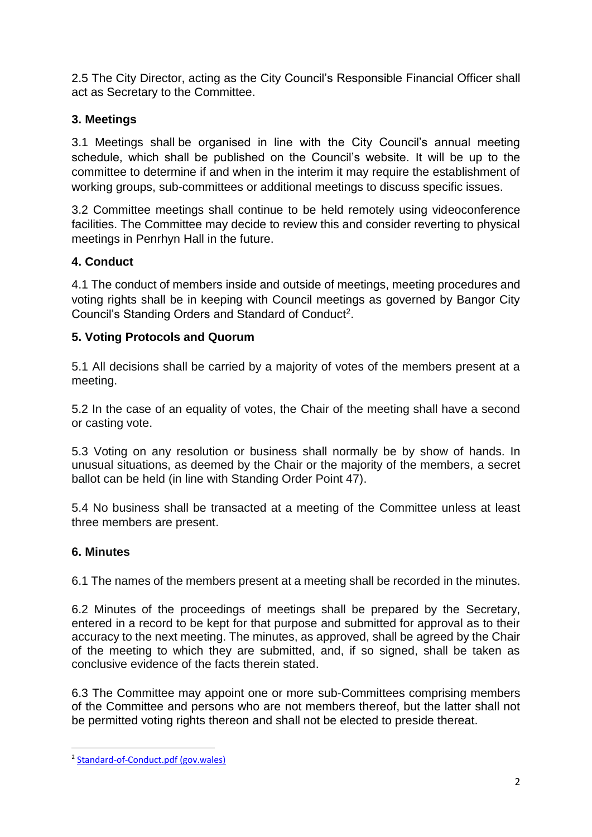2.5 The City Director, acting as the City Council's Responsible Financial Officer shall act as Secretary to the Committee.

# **3. Meetings**

3.1 Meetings shall be organised in line with the City Council's annual meeting schedule, which shall be published on the Council's website. It will be up to the committee to determine if and when in the interim it may require the establishment of working groups, sub-committees or additional meetings to discuss specific issues.

3.2 Committee meetings shall continue to be held remotely using videoconference facilities. The Committee may decide to review this and consider reverting to physical meetings in Penrhyn Hall in the future.

# **4. Conduct**

4.1 The conduct of members inside and outside of meetings, meeting procedures and voting rights shall be in keeping with Council meetings as governed by Bangor City Council's Standing Orders and Standard of Conduct<sup>2</sup>.

# **5. Voting Protocols and Quorum**

5.1 All decisions shall be carried by a majority of votes of the members present at a meeting.

5.2 In the case of an equality of votes, the Chair of the meeting shall have a second or casting vote.

5.3 Voting on any resolution or business shall normally be by show of hands. In unusual situations, as deemed by the Chair or the majority of the members, a secret ballot can be held (in line with Standing Order Point 47).

5.4 No business shall be transacted at a meeting of the Committee unless at least three members are present.

### **6. Minutes**

**.** 

6.1 The names of the members present at a meeting shall be recorded in the minutes.

6.2 Minutes of the proceedings of meetings shall be prepared by the Secretary, entered in a record to be kept for that purpose and submitted for approval as to their accuracy to the next meeting. The minutes, as approved, shall be agreed by the Chair of the meeting to which they are submitted, and, if so signed, shall be taken as conclusive evidence of the facts therein stated.

6.3 The Committee may appoint one or more sub-Committees comprising members of the Committee and persons who are not members thereof, but the latter shall not be permitted voting rights thereon and shall not be elected to preside thereat.

<sup>&</sup>lt;sup>2</sup> [Standard-of-Conduct.pdf \(gov.wales\)](https://bangorcitycouncil.gov.wales/Content/Upload/Standard-of-Conduct.pdf)